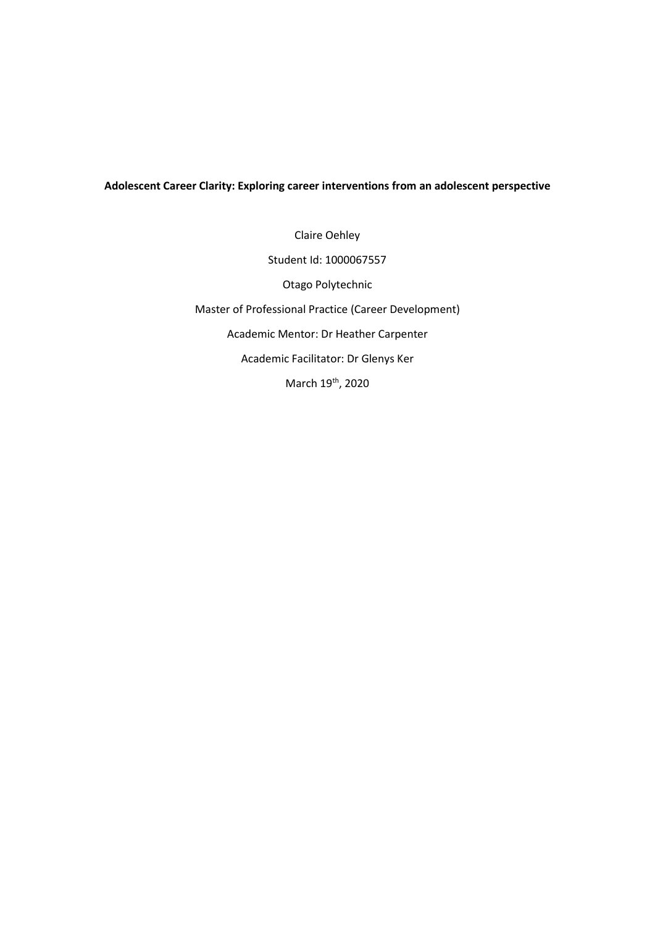## **Adolescent Career Clarity: Exploring career interventions from an adolescent perspective**

Claire Oehley Student Id: 1000067557 Otago Polytechnic Master of Professional Practice (Career Development) Academic Mentor: Dr Heather Carpenter Academic Facilitator: Dr Glenys Ker March 19<sup>th</sup>, 2020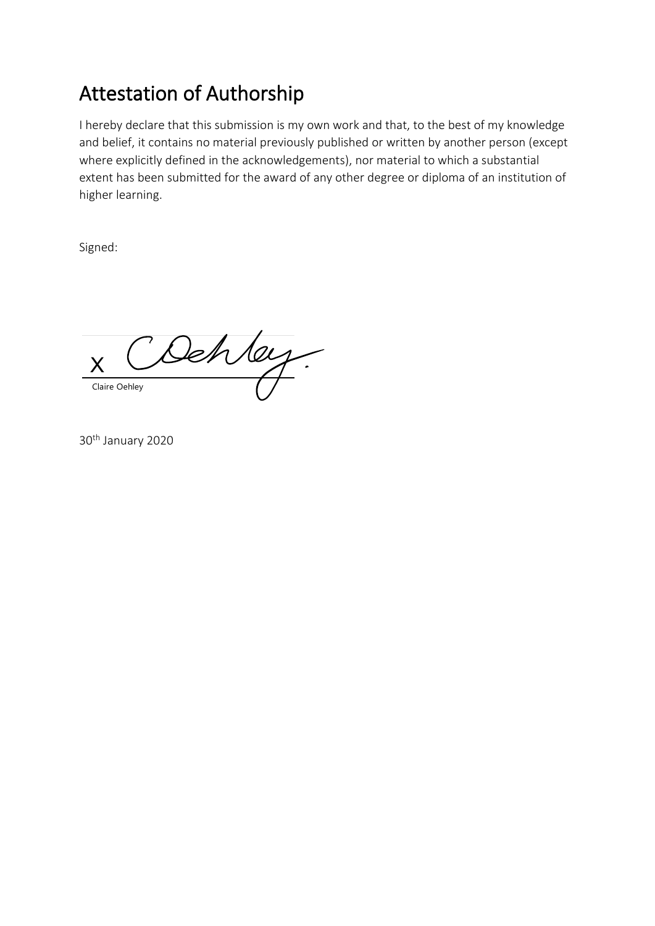## Attestation of Authorship

I hereby declare that this submission is my own work and that, to the best of my knowledge and belief, it contains no material previously published or written by another person (except where explicitly defined in the acknowledgements), nor material to which a substantial extent has been submitted for the award of any other degree or diploma of an institution of higher learning.

Signed:

Dehley X Claire Oehley

30th January 2020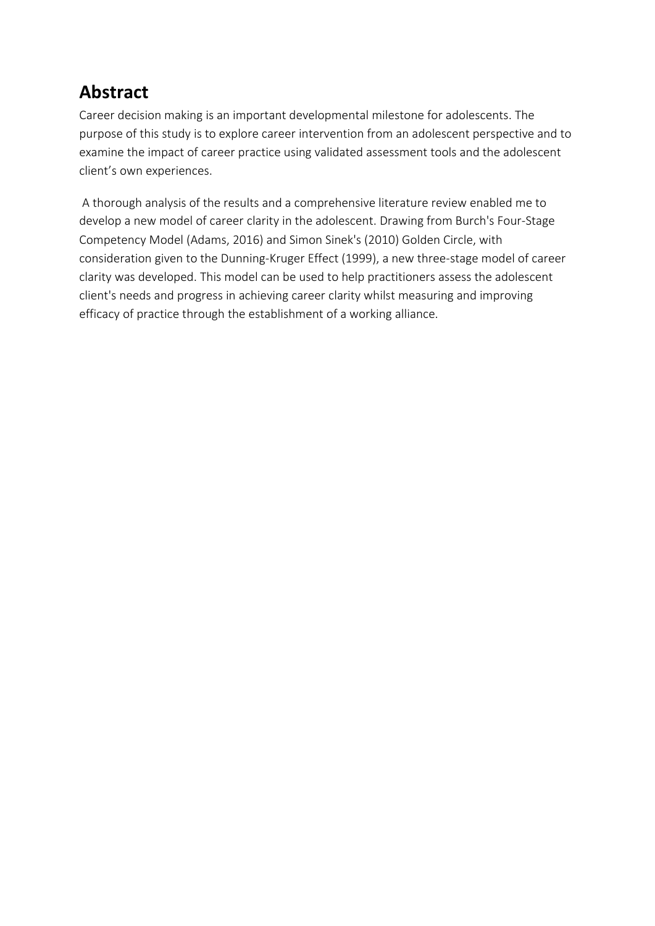## **Abstract**

Career decision making is an important developmental milestone for adolescents. The purpose of this study is to explore career intervention from an adolescent perspective and to examine the impact of career practice using validated assessment tools and the adolescent client's own experiences.

A thorough analysis of the results and a comprehensive literature review enabled me to develop a new model of career clarity in the adolescent. Drawing from Burch's Four-Stage Competency Model (Adams, 2016) and Simon Sinek's (2010) Golden Circle, with consideration given to the Dunning-Kruger Effect (1999), a new three-stage model of career clarity was developed. This model can be used to help practitioners assess the adolescent client's needs and progress in achieving career clarity whilst measuring and improving efficacy of practice through the establishment of a working alliance.